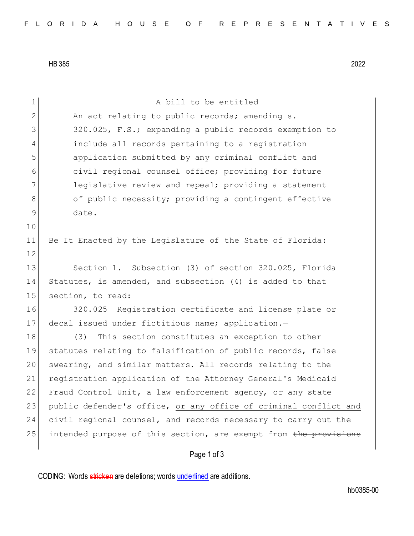HB 385 2022

| $\mathbf 1$    | A bill to be entitled                                            |
|----------------|------------------------------------------------------------------|
| $\mathbf{2}$   | An act relating to public records; amending s.                   |
| 3              | 320.025, F.S.; expanding a public records exemption to           |
| $\overline{4}$ | include all records pertaining to a registration                 |
| 5              | application submitted by any criminal conflict and               |
| 6              | civil regional counsel office; providing for future              |
| 7              | legislative review and repeal; providing a statement             |
| 8              | of public necessity; providing a contingent effective            |
| $\mathcal{G}$  | date.                                                            |
| 10             |                                                                  |
| 11             | Be It Enacted by the Legislature of the State of Florida:        |
| 12             |                                                                  |
| 13             | Section 1. Subsection (3) of section 320.025, Florida            |
| 14             | Statutes, is amended, and subsection (4) is added to that        |
| 15             | section, to read:                                                |
| 16             | 320.025 Registration certificate and license plate or            |
| 17             | decal issued under fictitious name; application.-                |
| 18             | This section constitutes an exception to other<br>(3)            |
| 19             | statutes relating to falsification of public records, false      |
| 20             | swearing, and similar matters. All records relating to the       |
| 21             | registration application of the Attorney General's Medicaid      |
| 22             | Fraud Control Unit, a law enforcement agency, or any state       |
| 23             | public defender's office, or any office of criminal conflict and |
| 24             | civil regional counsel, and records necessary to carry out the   |
| 25             | intended purpose of this section, are exempt from the provisions |
|                | Page 1 of 3                                                      |

CODING: Words stricken are deletions; words underlined are additions.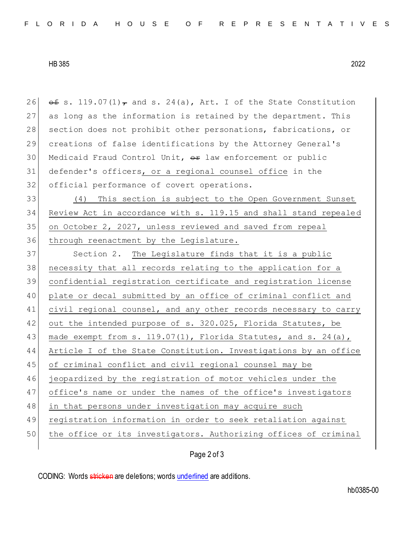HB 385 2022

26  $\Theta$   $\overline{\Theta}$  s. 119.07(1), and s. 24(a), Art. I of the State Constitution 27 as long as the information is retained by the department. This 28 section does not prohibit other personations, fabrications, or 29 creations of false identifications by the Attorney General's 30 Medicaid Fraud Control Unit,  $\theta$  law enforcement or public 31 defender's officers, or a regional counsel office in the 32 official performance of covert operations. 33 (4) This section is subject to the Open Government Sunset 34 Review Act in accordance with s. 119.15 and shall stand repealed 35 on October 2, 2027, unless reviewed and saved from repeal 36 through reenactment by the Legislature. 37 Section 2. The Legislature finds that it is a public 38 necessity that all records relating to the application for a 39 confidential registration certificate and registration license 40 plate or decal submitted by an office of criminal conflict and 41 civil regional counsel, and any other records necessary to carry 42 out the intended purpose of s. 320.025, Florida Statutes, be 43 made exempt from s. 119.07(1), Florida Statutes, and s. 24(a), 44 Article I of the State Constitution. Investigations by an office 45 of criminal conflict and civil regional counsel may be 46 jeopardized by the registration of motor vehicles under the 47 office's name or under the names of the office's investigators 48 in that persons under investigation may acquire such 49 registration information in order to seek retaliation against 50 the office or its investigators. Authorizing offices of criminal

Page 2 of 3

CODING: Words stricken are deletions; words underlined are additions.